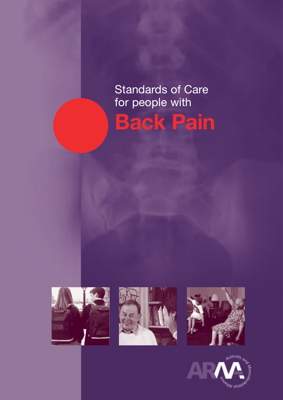# Standards of Care for people with **Back Pain**







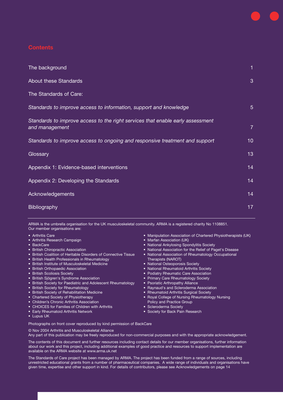## **Contents**

| The background                                                                                   | 1               |
|--------------------------------------------------------------------------------------------------|-----------------|
| <b>About these Standards</b>                                                                     | 3               |
| The Standards of Care:                                                                           |                 |
| Standards to improve access to information, support and knowledge                                | 5 <sup>5</sup>  |
| Standards to improve access to the right services that enable early assessment<br>and management | $\overline{7}$  |
| Standards to improve access to ongoing and responsive treatment and support                      | 10 <sup>°</sup> |
| Glossary                                                                                         | 13              |
| Appendix 1: Evidence-based interventions                                                         | 14              |
| Appendix 2: Developing the Standards                                                             | 14              |
| Acknowledgements                                                                                 | 14              |
| <b>Bibliography</b>                                                                              | 17              |

ARMA is the umbrella organisation for the UK musculoskeletal community. ARMA is a registered charity No 1108851. Our member organisations are:

- Arthritis Care
- Arthritis Research Campaign
- BackCare
- British Chiropractic Association
- British Coalition of Heritable Disorders of Connective Tissue
- British Health Professionals in Rheumatology
- British Institute of Musculoskeletal Medicine
- British Orthopaedic Association
- British Scoliosis Society
- British Sjögren's Syndrome Association
- British Society for Paediatric and Adolescent Rheumatology
- British Society for Rheumatology
- British Society of Rehabilitation Medicine
- Chartered Society of Physiotherapy
- Children's Chronic Arthritis Association
- CHOICES for Families of Children with Arthritis
- Early Rheumatoid Arthritis Network
- Lupus UK
- Manipulation Association of Chartered Physiotherapists (UK)
- Marfan Association (UK)
- National Ankylosing Spondylitis Society
- National Association for the Relief of Paget's Disease
- National Association of Rheumatology Occupational
- Therapists (NAROT) • National Osteoporosis Society
- National Rheumatoid Arthritis Society
- Podiatry Rheumatic Care Association
- Primary Care Rheumatology Society
- Psoriatic Arthropathy Alliance
- Raynaud's and Scleroderma Association
- Rheumatoid Arthritis Surgical Society
- Royal College of Nursing Rheumatology Nursing
- Policy and Practice Group
- Scleroderma Society
- Society for Back Pain Research

Photographs on front cover reproduced by kind permission of BackCare

© Nov 2004 Arthritis and Musculoskeletal Alliance

Any part of this publication may be freely reproduced for non-commercial purposes and with the appropriate acknowledgement.

The contents of this document and further resources including contact details for our member organisations, further information about our work and this project, including additional examples of good practice and resources to support implementation are available on the ARMA website at www.arma.uk.net

The Standards of Care project has been managed by ARMA. The project has been funded from a range of sources, including unrestricted educational grants from a number of pharmaceutical companies. A wide range of individuals and organisations have given time, expertise and other support in kind. For details of contributors, please see Acknowledgements on page 14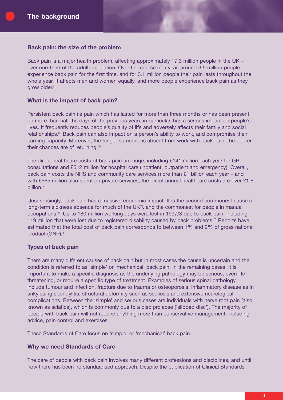## **Back pain: the size of the problem**

Back pain is a major health problem, affecting approximately 17.3 million people in the UK – over one-third of the adult population. Over the course of a year, around 3.5 million people experience back pain for the first time, and for 3.1 million people their pain lasts throughout the whole year. It affects men and women equally, and more people experience back pain as they grow older.<sup>[1]</sup>

## **What is the impact of back pain?**

Persistent back pain (ie pain which has lasted for more than three months or has been present on more than half the days of the previous year), in particular, has a serious impact on people's lives. It frequently reduces people's quality of life and adversely affects their family and social relationships.[2] Back pain can also impact on a person's ability to work, and compromise their earning capacity. Moreover, the longer someone is absent from work with back pain, the poorer their chances are of returning.<sup>[3]</sup>

The direct healthcare costs of back pain are huge, including £141 million each year for GP consultations and £512 million for hospital care (inpatient, outpatient and emergency). Overall, back pain costs the NHS and community care services more than £1 billion each year – and with £565 million also spent on private services, the direct annual healthcare costs are over £1.6 billion.<sup>[4]</sup>

Unsurprisingly, back pain has a massive economic impact. It is the second commonest cause of long-term sickness absence for much of the UK<sup>[5]</sup>, and the commonest for people in manual occupations.[6] Up to 180 million working days were lost in 1997/8 due to back pain, including 119 million that were lost due to registered disability caused by back problems.<sup>[7]</sup> Reports have estimated that the total cost of back pain corresponds to between 1% and 2% of gross national product (GNP).<sup>[8]</sup>

# **Types of back pain**

There are many different causes of back pain but in most cases the cause is uncertain and the condition is referred to as 'simple' or 'mechanical' back pain. In the remaining cases, it is important to make a specific diagnosis as the underlying pathology may be serious, even lifethreatening, or require a specific type of treatment. Examples of serious spinal pathology include tumour and infection, fracture due to trauma or osteoporosis, inflammatory disease as in ankylosing spondylitis, structural deformity such as scoliosis and extensive neurological complications. Between the 'simple' and serious cases are individuals with nerve root pain (also known as sciatica), which is commonly due to a disc prolapse ('slipped disc'). The majority of people with back pain will not require anything more than conservative management, including advice, pain control and exercises.

These Standards of Care focus on 'simple' or 'mechanical' back pain.

## **Why we need Standards of Care**

The care of people with back pain involves many different professions and disciplines, and until now there has been no standardised approach. Despite the publication of Clinical Standards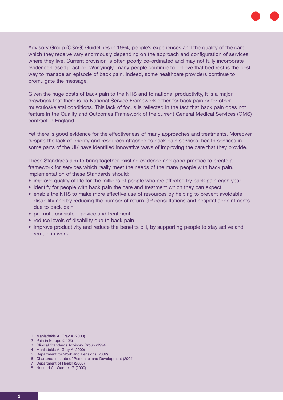Advisory Group (CSAG) Guidelines in 1994, people's experiences and the quality of the care which they receive vary enormously depending on the approach and configuration of services where they live. Current provision is often poorly co-ordinated and may not fully incorporate evidence-based practice. Worryingly, many people continue to believe that bed rest is the best way to manage an episode of back pain. Indeed, some healthcare providers continue to promulgate the message.

Given the huge costs of back pain to the NHS and to national productivity, it is a major drawback that there is no National Service Framework either for back pain or for other musculoskeletal conditions. This lack of focus is reflected in the fact that back pain does not feature in the Quality and Outcomes Framework of the current General Medical Services (GMS) contract in England.

Yet there is good evidence for the effectiveness of many approaches and treatments. Moreover, despite the lack of priority and resources attached to back pain services, health services in some parts of the UK have identified innovative ways of improving the care that they provide.

These Standards aim to bring together existing evidence and good practice to create a framework for services which really meet the needs of the many people with back pain. Implementation of these Standards should:

- improve quality of life for the millions of people who are affected by back pain each year
- identify for people with back pain the care and treatment which they can expect
- enable the NHS to make more effective use of resources by helping to prevent avoidable disability and by reducing the number of return GP consultations and hospital appointments due to back pain
- promote consistent advice and treatment
- reduce levels of disability due to back pain
- improve productivity and reduce the benefits bill, by supporting people to stay active and remain in work.

- 2 Pain in Europe (2003)
- 3 Clinical Standards Advisory Group (1994)
- 4 Maniadakis A, Gray A (2000)
- 5 Department for Work and Pensions (2002)
- 6 Chartered Institute of Personnel and Development (2004)
- 7 Department of Health (2000)
- 8 Norlund AI, Waddell G (2000)

<sup>1</sup> Maniadakis A, Gray A (2000).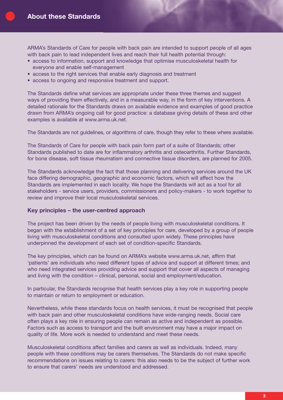ARMA's Standards of Care for people with back pain are intended to support people of all ages with back pain to lead independent lives and reach their full health potential through:

- access to information, support and knowledge that optimise musculoskeletal health for everyone and enable self-management
- access to the right services that enable early diagnosis and treatment
- access to ongoing and responsive treatment and support.

The Standards define what services are appropriate under these three themes and suggest ways of providing them effectively, and in a measurable way, in the form of key interventions. A detailed rationale for the Standards draws on available evidence and examples of good practice drawn from ARMA's ongoing call for good practice: a database giving details of these and other examples is available at www.arma.uk.net.

The Standards are not guidelines, or algorithms of care, though they refer to these where available.

The Standards of Care for people with back pain form part of a suite of Standards; other Standards published to date are for inflammatory arthritis and osteoarthritis. Further Standards, for bone disease, soft tissue rheumatism and connective tissue disorders, are planned for 2005.

The Standards acknowledge the fact that those planning and delivering services around the UK face differing demographic, geographic and economic factors, which will affect how the Standards are implemented in each locality. We hope the Standards will act as a tool for all stakeholders - service users, providers, commissioners and policy-makers - to work together to review and improve their local musculoskeletal services.

## **Key principles – the user-centred approach**

The project has been driven by the needs of people living with musculoskeletal conditions. It began with the establishment of a set of key principles for care, developed by a group of people living with musculoskeletal conditions and consulted upon widely. These principles have underpinned the development of each set of condition-specific Standards.

The key principles, which can be found on ARMA's website www.arma.uk.net, affirm that 'patients' are individuals who need different types of advice and support at different times; and who need integrated services providing advice and support that cover all aspects of managing and living with the condition – clinical, personal, social and employment/education.

In particular, the Standards recognise that health services play a key role in supporting people to maintain or return to employment or education.

Nevertheless, while these standards focus on health services, it must be recognised that people with back pain and other musculoskeletal conditions have wide-ranging needs. Social care often plays a key role in ensuring people can remain as active and independent as possible. Factors such as access to transport and the built environment may have a major impact on quality of life. More work is needed to understand and meet these needs.

Musculoskeletal conditions affect families and carers as well as individuals. Indeed, many people with these conditions may be carers themselves. The Standards do not make specific recommendations on issues relating to carers: this also needs to be the subject of further work to ensure that carers' needs are understood and addressed.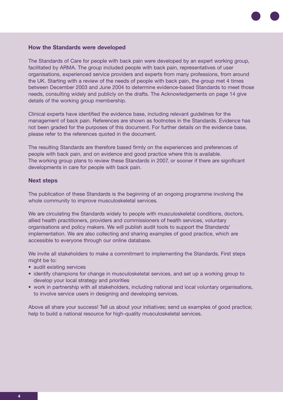## **How the Standards were developed**

The Standards of Care for people with back pain were developed by an expert working group, facilitated by ARMA. The group included people with back pain, representatives of user organisations, experienced service providers and experts from many professions, from around the UK. Starting with a review of the needs of people with back pain, the group met 4 times between December 2003 and June 2004 to determine evidence-based Standards to meet those needs, consulting widely and publicly on the drafts. The Acknowledgements on page 14 give details of the working group membership.

Clinical experts have identified the evidence base, including relevant guidelines for the management of back pain. References are shown as footnotes in the Standards. Evidence has not been graded for the purposes of this document. For further details on the evidence base, please refer to the references quoted in the document.

The resulting Standards are therefore based firmly on the experiences and preferences of people with back pain, and on evidence and good practice where this is available. The working group plans to review these Standards in 2007, or sooner if there are significant developments in care for people with back pain.

## **Next steps**

The publication of these Standards is the beginning of an ongoing programme involving the whole community to improve musculoskeletal services.

We are circulating the Standards widely to people with musculoskeletal conditions, doctors, allied health practitioners, providers and commissioners of health services, voluntary organisations and policy makers. We will publish audit tools to support the Standards' implementation. We are also collecting and sharing examples of good practice, which are accessible to everyone through our online database.

We invite all stakeholders to make a commitment to implementing the Standards. First steps might be to:

- audit existing services
- identify champions for change in musculoskeletal services, and set up a working group to develop your local strategy and priorities
- work in partnership with all stakeholders, including national and local voluntary organisations, to involve service users in designing and developing services.

Above all share your success! Tell us about your initiatives; send us examples of good practice; help to build a national resource for high-quality musculoskeletal services.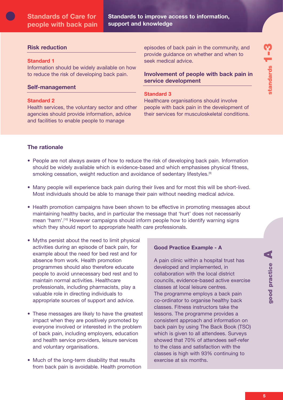**Standards to improve access to information, support and knowledge**

# **Risk reduction**

## **Standard 1**

Information should be widely available on how to reduce the risk of developing back pain.

## **Self-management**

## **Standard 2**

Health services, the voluntary sector and other agencies should provide information, advice and facilities to enable people to manage

episodes of back pain in the community, and provide guidance on whether and when to seek medical advice.

# **Involvement of people with back pain in service development**

## **Standard 3**

Healthcare organisations should involve people with back pain in the development of their services for musculoskeletal conditions.

# **The rationale**

- People are not always aware of how to reduce the risk of developing back pain. Information should be widely available which is evidence-based and which emphasises physical fitness, smoking cessation, weight reduction and avoidance of sedentary lifestyles.<sup>[9]</sup>
- Many people will experience back pain during their lives and for most this will be short-lived. Most individuals should be able to manage their pain without needing medical advice.
- Health promotion campaigns have been shown to be effective in promoting messages about maintaining healthy backs, and in particular the message that 'hurt' does not necessarily mean 'harm'.[10] However campaigns should inform people how to identify warning signs which they should report to appropriate health care professionals.
- Myths persist about the need to limit physical activities during an episode of back pain, for example about the need for bed rest and for absence from work. Health promotion programmes should also therefore educate people to avoid unnecessary bed rest and to maintain normal activities. Healthcare professionals, including pharmacists, play a valuable role in directing individuals to appropriate sources of support and advice.
- These messages are likely to have the greatest impact when they are positively promoted by everyone involved or interested in the problem of back pain, including employers, education and health service providers, leisure services and voluntary organisations.
- Much of the long-term disability that results from back pain is avoidable. Health promotion

## **Good Practice Example - A**

A pain clinic within a hospital trust has developed and implemented, in collaboration with the local district councils, evidence-based active exercise classes at local leisure centres. The programme employs a back pain co-ordinator to organise healthy back classes. Fitness instructors take the lessons. The programme provides a consistent approach and information on back pain by using The Back Book (TSO) which is given to all attendees. Surveys showed that 70% of attendees self-refer to the class and satisfaction with the classes is high with 93% continuing to exercise at six months.

**A**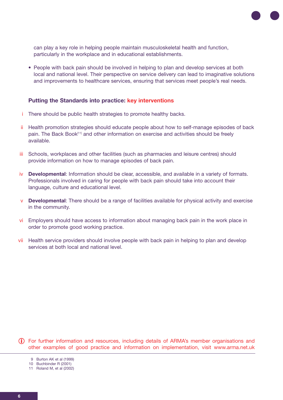

can play a key role in helping people maintain musculoskeletal health and function, particularly in the workplace and in educational establishments.

• People with back pain should be involved in helping to plan and develop services at both local and national level. Their perspective on service delivery can lead to imaginative solutions and improvements to healthcare services, ensuring that services meet people's real needs.

## **Putting the Standards into practice: key interventions**

- i There should be public health strategies to promote healthy backs.
- ii Health promotion strategies should educate people about how to self-manage episodes of back pain. The Back Book[11] and other information on exercise and activities should be freely available.
- iii Schools, workplaces and other facilities (such as pharmacies and leisure centres) should provide information on how to manage episodes of back pain.
- iv Developmental: Information should be clear, accessible, and available in a variety of formats. Professionals involved in caring for people with back pain should take into account their language, culture and educational level.
- v **Developmental**: There should be a range of facilities available for physical activity and exercise in the community.
- vi Employers should have access to information about managing back pain in the work place in order to promote good working practice.
- vii Health service providers should involve people with back pain in helping to plan and develop services at both local and national level.

For further information and resources, including details of ARMA's member organisations and **i**other examples of good practice and information on implementation, visit www.arma.net.uk

<sup>9</sup> Burton AK et al (1999)

<sup>10</sup> Buchbinder R (2001)

<sup>11</sup> Roland M, et al (2002)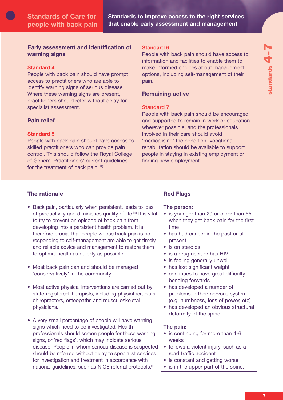# **Early assessment and identification of 7warning signs**

# **Standard 4**

People with back pain should have prompt access to practitioners who are able to identify warning signs of serious disease. Where these warning signs are present, practitioners should refer without delay for specialist assessment.

# **Pain relief**

# **Standard 5**

People with back pain should have access to skilled practitioners who can provide pain control. This should follow the Royal College of General Practitioners' current guidelines for the treatment of back pain.<sup>[12]</sup>

# **Standard 6**

People with back pain should have access to information and facilities to enable them to make informed choices about management options, including self-management of their pain.

# **Remaining active**

# **Standard 7**

People with back pain should be encouraged and supported to remain in work or education wherever possible, and the professionals involved in their care should avoid 'medicalising' the condition. Vocational rehabilitation should be available to support people in staying in existing employment or finding new employment.

# **The rationale**

- Back pain, particularly when persistent, leads to loss of productivity and diminishes quality of life.[13] It is vital to try to prevent an episode of back pain from developing into a persistent health problem. It is therefore crucial that people whose back pain is not responding to self-management are able to get timely and reliable advice and management to restore them to optimal health as quickly as possible.
- Most back pain can and should be managed 'conservatively' in the community.
- Most active physical interventions are carried out by state-registered therapists, including physiotherapists, chiropractors, osteopaths and musculoskeletal physicians.
- A very small percentage of people will have warning signs which need to be investigated. Health professionals should screen people for these warning signs, or 'red flags', which may indicate serious disease. People in whom serious disease is suspected should be referred without delay to specialist services for investigation and treatment in accordance with national guidelines, such as NICE referral protocols.<sup>[14]</sup>

# **Red Flags**

# **The person:**

- is younger than 20 or older than 55 when they get back pain for the first time
- has had cancer in the past or at present
- is on steroids
- is a drug user, or has HIV
- is feeling generally unwell
- has lost significant weight
- continues to have great difficulty bending forwards
- has developed a number of problems in their nervous system (e.g. numbness, loss of power, etc)
- has developed an obvious structural deformity of the spine.

# **The pain:**

- is continuing for more than 4-6 weeks
- follows a violent injury, such as a road traffic accident
- is constant and getting worse
- is in the upper part of the spine.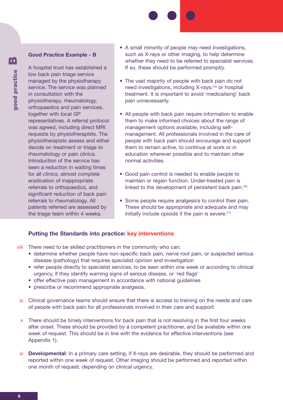## **Good Practice Example - B**

A hospital trust has established a low back pain triage service managed by the physiotherapy service. The service was planned in consultation with the physiotherapy, rheumatology, orthopaedics and pain services, together with local GP representatives. A referral protocol was agreed, including direct MRI requests by physiotherapists. The physiotherapists assess and either decide on treatment or triage to rheumatology or pain clinics. Introduction of the service has seen a reduction in waiting times for all clinics, almost complete eradication of inappropriate referrals to orthopaedics, and significant reduction of back pain referrals to rheumatology. All patients referred are assessed by the triage team within 4 weeks.

- A small minority of people may need investigations, such as X-rays or other imaging, to help determine whether they need to be referred to specialist services. If so, these should be performed promptly.
- The vast majority of people with back pain do not need investigations, including X-rays,[15] or hospital treatment. It is important to avoid 'medicalising' back pain unnecessarily.
- All people with back pain require information to enable them to make informed choices about the range of management options available, including selfmanagement. All professionals involved in the care of people with back pain should encourage and support them to remain active, to continue at work or in education wherever possible and to maintain other normal activities.
- Good pain control is needed to enable people to maintain or regain function. Under-treated pain is linked to the development of persistent back pain.<sup>[16]</sup>
- Some people require analgesics to control their pain. These should be appropriate and adequate and may initially include opioids if the pain is severe.<sup>[17]</sup>

# **Putting the Standards into practice: key interventions**

viii There need to be skilled practitioners in the community who can:

- determine whether people have non-specific back pain, nerve root pain, or suspected serious disease (pathology) that requires specialist opinion and investigation
- refer people directly to specialist services, to be seen within one week or according to clinical urgency, if they identify warning signs of serious disease, or 'red flags'
- offer effective pain management in accordance with national guidelines
- prescribe or recommend appropriate analgesia.
- ix Clinical governance teams should ensure that there is access to training on the needs and care of people with back pain for all professionals involved in their care and support.
- $x$  There should be timely interventions for back pain that is not resolving in the first four weeks after onset. These should be provided by a competent practitioner, and be available within one week of request. This should be in line with the evidence for effective interventions (see Appendix 1).
- xi **Developmental**: In a primary care setting, if X-rays are desirable, they should be performed and reported within one week of request. Other imaging should be performed and reported within one month of request, depending on clinical urgency.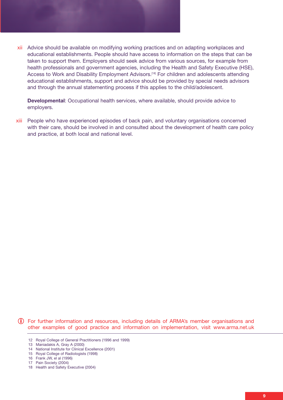

xii Advice should be available on modifying working practices and on adapting workplaces and educational establishments. People should have access to information on the steps that can be taken to support them. Employers should seek advice from various sources, for example from health professionals and government agencies, including the Health and Safety Executive (HSE), Access to Work and Disability Employment Advisors.<sup>[18]</sup> For children and adolescents attending educational establishments, support and advice should be provided by special needs advisors and through the annual statementing process if this applies to the child/adolescent.

**Developmental**: Occupational health services, where available, should provide advice to employers.

People who have experienced episodes of back pain, and voluntary organisations concerned xiii with their care, should be involved in and consulted about the development of health care policy and practice, at both local and national level.

For further information and resources, including details of ARMA's member organisations and **i**other examples of good practice and information on implementation, visit www.arma.net.uk

<sup>12</sup> Royal College of General Practitioners (1996 and 1999)

<sup>13</sup> Maniadakis A, Gray A (2000)

<sup>14</sup> National Institute for Clinical Excellence (2001)

<sup>15</sup> Royal College of Radiologists (1998)

<sup>16</sup> Frank JW, el al (1996)

<sup>17</sup> Pain Society (2004)

<sup>18</sup> Health and Safety Executive (2004)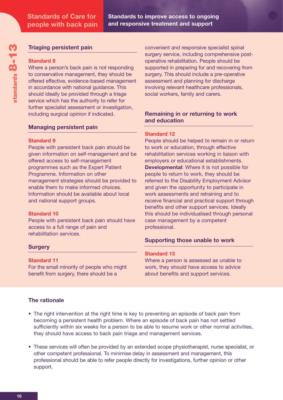# **Triaging persistent pain**

## **Standard 8**

Where a person's back pain is not responding to conservative management, they should be offered effective, evidence-based management in accordance with national guidance. This should ideally be provided through a triage service which has the authority to refer for further specialist assessment or investigation, including surgical opinion if indicated.

# **Managing persistent pain**

## **Standard 9**

People with persistent back pain should be given information on self-management and be offered access to self-management programmes such as the Expert Patient Programme. Information on other management strategies should be provided to enable them to make informed choices. Information should be available about local and national support groups.

## **Standard 10**

People with persistent back pain should have access to a full range of pain and rehabilitation services.

# **Surgery**

## **Standard 11**

For the small minority of people who might benefit from surgery, there should be a

convenient and responsive specialist spinal surgery service, including comprehensive postoperative rehabilitation. People should be supported in preparing for and recovering from surgery. This should include a pre-operative assessment and planning for discharge involving relevant healthcare professionals, social workers, family and carers.

# **Remaining in or returning to work and education**

# **Standard 12**

People should be helped to remain in or return to work or education, through effective rehabilitation services working in liaison with employers or educational establishments. **Developmental**: Where it is not possible for people to return to work, they should be referred to the Disability Employment Advisor and given the opportunity to participate in work assessments and retraining and to receive financial and practical support through benefits and other support services. Ideally this should be individualised through personal case management by a competent professional.

# **Supporting those unable to work**

## **Standard 13**

Where a person is assessed as unable to work, they should have access to advice about benefits and support services.

# **The rationale**

- The right intervention at the right time is key to preventing an episode of back pain from becoming a persistent health problem. Where an episode of back pain has not settled sufficiently within six weeks for a person to be able to resume work or other normal activities, they should have access to back pain triage and management services.
- These services will often be provided by an extended scope physiotherapist, nurse specialist, or other competent professional. To minimise delay in assessment and management, this professional should be able to refer people directly for investigations, further opinion or other support.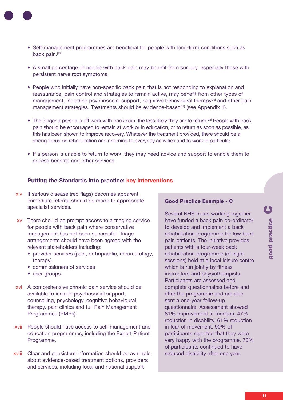- - Self-management programmes are beneficial for people with long-term conditions such as back pain.[19]
	- A small percentage of people with back pain may benefit from surgery, especially those with persistent nerve root symptoms.
	- People who initially have non-specific back pain that is not responding to explanation and reassurance, pain control and strategies to remain active, may benefit from other types of management, including psychosocial support, cognitive behavioural therapy<sup>[20]</sup> and other pain management strategies. Treatments should be evidence-based<sup>[21]</sup> (see Appendix 1).
	- The longer a person is off work with back pain, the less likely they are to return.<sup>[22]</sup> People with back pain should be encouraged to remain at work or in education, or to return as soon as possible, as this has been shown to improve recovery. Whatever the treatment provided, there should be a strong focus on rehabilitation and returning to everyday activities and to work in particular.
	- If a person is unable to return to work, they may need advice and support to enable them to access benefits and other services.

# **Putting the Standards into practice: key interventions**

- xiv If serious disease (red flags) becomes apparent, immediate referral should be made to appropriate specialist services.
- xv There should be prompt access to a triaging service for people with back pain where conservative management has not been successful. Triage arrangements should have been agreed with the relevant stakeholders including:
	- provider services (pain, orthopaedic, rheumatology, therapy)
	- commissioners of services
	- user groups.
- xvi A comprehensive chronic pain service should be available to include psychosocial support, counselling, psychology, cognitive behavioural therapy, pain clinics and full Pain Management Programmes (PMPs).
- xvii People should have access to self-management and education programmes, including the Expert Patient Programme.
- Clear and consistent information should be available xviiiabout evidence-based treatment options, providers and services, including local and national support

# **Good Practice Example - C**

Several NHS trusts working together have funded a back pain co-ordinator to develop and implement a back rehabilitation programme for low back pain patients. The initiative provides patients with a four-week back rehabilitation programme (of eight sessions) held at a local leisure centre which is run jointly by fitness instructors and physiotherapists. Participants are assessed and complete questionnaires before and after the programme and are also sent a one-year follow-up questionnaire. Assessment showed 81% improvement in function, 47% reduction in disability, 61% reduction in fear of movement. 90% of participants reported that they were very happy with the programme. 70% of participants continued to have reduced disability after one year.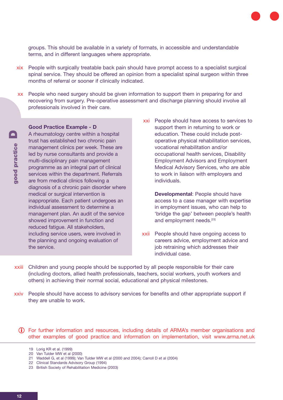

groups. This should be available in a variety of formats, in accessible and understandable terms, and in different languages where appropriate.

- xix People with surgically treatable back pain should have prompt access to a specialist surgical spinal service. They should be offered an opinion from a specialist spinal surgeon within three months of referral or sooner if clinically indicated.
- xx People who need surgery should be given information to support them in preparing for and recovering from surgery. Pre-operative assessment and discharge planning should involve all professionals involved in their care.

# **Good Practice Example - D**

A rheumatology centre within a hospital trust has established two chronic pain management clinics per week. These are led by nurse consultants and provide a multi-disciplinary pain management programme as an integral part of clinical services within the department. Referrals are from medical clinics following a diagnosis of a chronic pain disorder where medical or surgical intervention is inappropriate. Each patient undergoes an individual assessment to determine a management plan. An audit of the service showed improvement in function and reduced fatigue. All stakeholders, including service users, were involved in the planning and ongoing evaluation of the service.

xxi People should have access to services to support them in returning to work or education. These could include postoperative physical rehabilitation services, vocational rehabilitation and/or occupational health services, Disability Employment Advisors and Employment Medical Advisory Services, who are able to work in liaison with employers and individuals.

> **Developmental**: People should have access to a case manager with expertise in employment issues, who can help to 'bridge the gap' between people's health and employment needs.<sup>[23]</sup>

- xxii People should have ongoing access to careers advice, employment advice and job retraining which addresses their individual case.
- xxiii Children and young people should be supported by all people responsible for their care (including doctors, allied health professionals, teachers, social workers, youth workers and others) in achieving their normal social, educational and physical milestones.
- xxiv People should have access to advisory services for benefits and other appropriate support if they are unable to work.

For further information and resources, including details of ARMA's member organisations and **i** other examples of good practice and information on implementation, visit www.arma.net.uk

22 Clinical Standards Advisory Group (1994)

<sup>19</sup> Lorig KR et al. (1999)

<sup>20</sup> Van Tulder MW et al (2000)

<sup>21</sup> Waddell G, et al (1999); Van Tulder MW et al (2000 and 2004); Carroll D et al (2004)

<sup>23</sup> British Society of Rehabilitation Medicine (2003)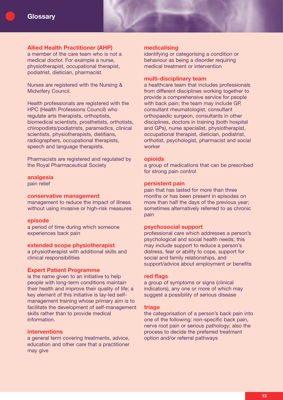## **Allied Health Practitioner (AHP)**

a member of the care team who is not a medical doctor. For example a nurse, physiotherapist, occupational therapist, podiatrist, dietician, pharmacist.

Nurses are registered with the Nursing & Midwifery Council.

Health professionals are registered with the HPC (Health Professions Council) who regulate arts therapists, orthoptists, biomedical scientists, prosthetists, orthotists, chiropodists/podiatrists, paramedics, clinical scientists, physiotherapists, dietitians, radiographers, occupational therapists, speech and language therapists.

Pharmacists are registered and regulated by the Royal Pharmaceutical Society

#### **analgesia**

pain relief

## **conservative management**

management to reduce the impact of illness without using invasive or high-risk measures

#### **episode**

a period of time during which someone experiences back pain

## **extended scope physiotherapist**

a physiotherapist with additional skills and clinical responsibilities

#### **Expert Patient Programme**

is the name given to an initiative to help people with long-term conditions maintain their health and improve their quality of life; a key element of this initiative is lay-led selfmanagement training whose primary aim is to facilitate the development of self-management skills rather than to provide medical information.

## **interventions**

a general term covering treatments, advice, education and other care that a practitioner may give

#### **medicalising**

identifying or categorising a condition or behaviour as being a disorder requiring medical treatment or intervention

## **multi-disciplinary team**

a healthcare team that includes professionals from different disciplines working together to provide a comprehensive service for people with back pain; the team may include GP, consultant rheumatologist, consultant orthopaedic surgeon, consultants in other disciplines, doctors in training (both hospital and GPs), nurse specialist, physiotherapist, occupational therapist, dietician, podiatrist, orthotist, psychologist, pharmacist and social worker

## **opioids**

a group of medications that can be prescribed for strong pain control

## **persistent pain**

pain that has lasted for more than three months or has been present in episodes on more than half the days of the previous year; sometimes alternatively referred to as chronic pain

## **psychosocial support**

professional care which addresses a person's psychological and social health needs; this may include support to reduce a person's distress, fear or ability to cope, support for social and family relationships, and support/advice about employment or benefits

#### **red flags**

a group of symptoms or signs (clinical indicators), any one or more of which may suggest a possibility of serious disease

#### **triage**

the categorisation of a person's back pain into one of the following: non-specific back pain, nerve root pain or serious pathology; also the process to decide the preferred treatment option and/or referral pathways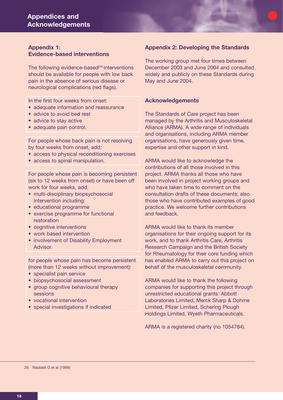# **Appendix 1: Evidence-based interventions**

The following evidence-based<sup>[26]</sup> interventions should be available for people with low back pain in the absence of serious disease or neurological complications (red flags).

In the first four weeks from onset:

- adequate information and reassurance
- advice to avoid bed rest
- advice to stay active
- adequate pain control.

For people whose back pain is not resolving by four weeks from onset, add:

- access to physical reconditioning exercises
- access to spinal manipulation.

For people whose pain is becoming persistent (six to 12 weeks from onset) or have been off work for four weeks, add:

- multi-disciplinary biopsychosocial intervention including:
- educational programme
- exercise programme for functional restoration
- cognitive interventions
- work based intervention
- involvement of Disability Employment Advisor.

for people whose pain has become persistent (more than 12 weeks without improvement):

- specialist pain service
- biopsychosocial assessment
- group cognitive behavioural therapy sessions
- vocational intervention
- special investigations if indicated

# **Appendix 2: Developing the Standards**

The working group met four times between December 2003 and June 2004 and consulted widely and publicly on these Standards during May and June 2004.

## **Acknowledgements**

The Standards of Care project has been managed by the Arthritis and Musculoskeletal Alliance (ARMA). A wide range of individuals and organisations, including ARMA member organisations, have generously given time, expertise and other support in kind.

ARMA would like to acknowledge the contributions of all those involved in this project. ARMA thanks all those who have been involved in project working groups and who have taken time to comment on the consultation drafts of these documents; also those who have contributed examples of good practice. We welcome further contributions and feedback.

ARMA would like to thank its member organisations for their ongoing support for its work, and to thank Arthritis Care, Arthritis Research Campaign and the British Society for Rheumatology for their core funding which has enabled ARMA to carry out this project on behalf of the musculoskeletal community.

ARMA would like to thank the following companies for supporting this project through unrestricted educational grants: Abbott Laboratories Limited, Merck Sharp & Dohme Limited, Pfizer Limited, Schering Plough Holdings Limited, Wyeth Pharmaceuticals.

ARMA is a registered charity (no 1054784).

26 Waddell G et al (1999)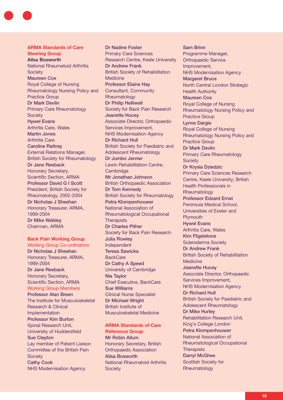#### **ARMA Standards of Care Steering Group**

**Ailsa Bosworth** National Rheumatoid Arthritis **Society** Maureen Cox Royal College of Nursing Rheumatology Nursing Policy and Practice Group Dr Mark Devlin Primary Care Rheumatology **Society** Hywel Evans Arthritis Care, Wales Martin Jones Arthritis Care Caroline Rattray External Relations Manager, British Society for Rheumatology Dr Jane Reeback Honorary Secretary, Scientific Section, ARMA Professor David G I Scott President, British Society for Rheumatology, 2002-2004 Dr Nicholas J Sheehan Honorary Treasurer, ARMA, 1999-2004 Dr Mike Webley Chairman, ARMA

## **Back Pain Working Group**

Working Group Co-ordinators Dr Nicholas J Sheehan Honorary Treasurer, ARMA, 1999-2004 Dr Jane Reeback Honorary Secretary, Scientific Section, ARMA Working Group Members Professor Alan Breen The Institute for Musculoskeletal Research & Clinical **Implementation** Professor Kim Burton Spinal Research Unit, University of Huddersfield Sue Clayton Lay member of Patient Liaison Committee of the British Pain **Society** Cathy Cook NHS Modernisation Agency

Dr Nadine Foster Primary Care Sciences Research Centre, Keele University Dr Andrew Frank British Society of Rehabilitation **Medicine** Professor Elaine Hay Consultant, Community **Rheumatology** Dr Philip Helliwell Society for Back Pain Research Jeanette Hucey Associate Director, Orthopaedic Services Improvement, NHS Modernisation Agency Dr Richard Hull British Society for Paediatric and Adolescent Rheumatology Dr Jumbo Jenner Lewin Rehabilitation Centre, **Cambridge** Mr Jonathan Johnson British Orthopaedic Association Dr Tom Kennedy British Society for Rheumatology Petra Klompenhouwer National Association of Rheumatological Occupational **Therapists** Dr Charles Pither Society for Back Pain Research Julia Rowley Independent Teresa Sawicka **BackCare** Dr Cathy A Speed University of Cambridge Nia Taylor Chief Executive, BackCare Sue Williams Clinical Nurse Specialist Dr Michael Wright British Institute of Musculoskeletal Medicine

# **ARMA Standards of Care Reference Group** Mr Robin Allum

Honorary Secretary, British Orthopaedic Association Ailsa Bosworth National Rheumatoid Arthritis **Society** 

Sam Brinn Programme Manager, Orthopaedic Service Improvement, NHS Modernisation Agency Margaret Bruce North Central London Strategic Health Authority Maureen Cox Royal College of Nursing Rheumatology Nursing Policy and Practice Group Lynne Dargie Royal College of Nursing Rheumatology Nursing Policy and Practice Group Dr Mark Devlin Primary Care Rheumatology **Society** Dr Krysia Dziedzic Primary Care Sciences Research Centre, Keele University; British Health Professionals in **Rheumatology** Professor Edzard Ernst Peninsula Medical School, Universities of Exeter and **Plymouth** Hywel Evans Arthritis Care, Wales Kim Fligelstone Scleroderma Society Dr Andrew Frank British Society of Rehabilitation **Medicine** Jeanette Hucey Associate Director, Orthopaedic Services Improvement, NHS Modernisation Agency Dr Richard Hull British Society for Paediatric and Adolescent Rheumatology Dr Mike Hurley Rehabilitation Research Unit, King's College London Petra Klompenhouwer National Association of Rheumatological Occupational **Therapists** Darryl McGhee Scottish Society for Rheumatology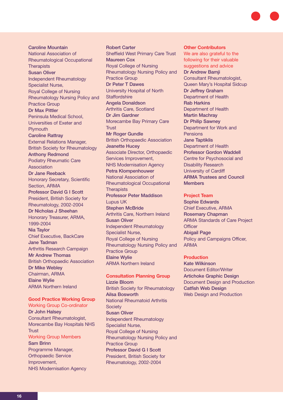Caroline Mountain National Association of Rheumatological Occupational **Therapists** Susan Oliver Independent Rheumatology Specialist Nurse, Royal College of Nursing Rheumatology Nursing Policy and Practice Group Dr Max Pittler Peninsula Medical School, Universities of Exeter and **Plymouth** Caroline Rattray External Relations Manager, British Society for Rheumatology Anthony Redmond Podiatry Rheumatic Care Association Dr Jane Reeback Honorary Secretary, Scientific Section, ARMA Professor David G I Scott President, British Society for Rheumatology, 2002-2004 Dr Nicholas J Sheehan Honorary Treasurer, ARMA, 1999-2004 Nia Taylor Chief Executive, BackCare Jane Tadman Arthritis Research Campaign Mr Andrew Thomas British Orthopaedic Association Dr Mike Webley Chairman, ARMA Elaine Wylie ARMA Northern Ireland

# **Good Practice Working Group**

Working Group Co-ordinator Dr John Halsey Consultant Rheumatologist, Morecambe Bay Hospitals NHS **Trust** Working Group Members Sam Brinn Programme Manager,

Orthopaedic Service Improvement, NHS Modernisation Agency

Robert Carter Sheffield West Primary Care Trust Maureen Cox Royal College of Nursing Rheumatology Nursing Policy and Practice Group Dr Peter T Dawes University Hospital of North **Staffordshire** Angela Donaldson Arthritis Care, Scotland Dr Jim Gardner Morecambe Bay Primary Care **Trust** Mr Roger Gundle British Orthopaedic Association Jeanette Hucey Associate Director, Orthopaedic Services Improvement, NHS Modernisation Agency Petra Klompenhouwer National Association of Rheumatological Occupational **Therapists** Professor Peter Maddison Lupus UK Stephen McBride Arthritis Care, Northern Ireland Susan Oliver Independent Rheumatology Specialist Nurse, Royal College of Nursing Rheumatology Nursing Policy and Practice Group Elaine Wylie ARMA Northern Ireland

#### **Consultation Planning Group** Lizzie Bloom

British Society for Rheumatology Ailsa Bosworth National Rheumatoid Arthritis **Society** Susan Oliver Independent Rheumatology Specialist Nurse, Royal College of Nursing Rheumatology Nursing Policy and Practice Group Professor David G I Scott President, British Society for Rheumatology, 2002-2004

## **Other Contributors**

We are also grateful to the following for their valuable suggestions and advice Dr Andrew Bamji Consultant Rheumatologist, Queen Mary's Hospital Sidcup Dr Jeffrey Graham Department of Health Rab Harkins Department of Health Martin Machray Dr Philip Sawney Department for Work and Pensions Jane Taptiklis Department of Health Professor Gordon Waddell Centre for Psychosocial and Disability Research University of Cardiff ARMA Trustees and Council Members

## **Project Team**

Sophie Edwards Chief Executive, ARMA Rosemary Chapman ARMA Standards of Care Project **Officer** Abigail Page Policy and Campaigns Officer, ARMA

#### **Production**

Kate Wilkinson Document Editor/Writer Artichoke Graphic Design Document Design and Production Catfish Web Design Web Design and Production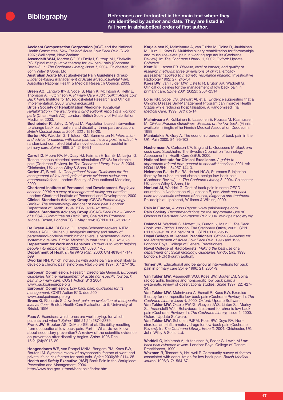**Bibliography References are footnoted in the main text where they are identified by author and date. They are listed in full here in alphabetical order of first author.**

**Accident Compensation Corporation** (ACC) and the National Health Committee. *New Zealand Acute Low Back Pain Guide*. 1997; Wellington, New Zealand.

**Assendelft WJJ**, Morton SC, Yu Emily I, Suttorp MJ, Shekelle PG. Spinal manipulative therapy for low back pain (Cochrane Review). In: *The Cochrane Library, Issue 1*, 2004. Chichester, UK: John Wiley & Sons, Ltd.

**Australian Acute Musculoskeletal Pain Guidelines Group**. *Evidence-based Management of Acute Musculoskeletal Pain*. Australian National Health & Medical Research Council, 2003.

**Breen AC**, Langworthy J, Vogel S, Nash K, McIntosh A, Kelly E, Thomson A, Hutchinson A. *Primary Care Audit Toolkit: Acute Low Back Pain*. Institute for Musculoskeletal Research and Clinical Implementation, 2000 (www.imrci.ac.uk)

**British Society of Rehabilitation Medicine**. *Vocational Rehabilitation - the way forward (2nd edition): report of a working party* (Chair: Frank AO). London: British Society of Rehabilitation Medicine, 2003.

**Buchbinder R**, Jolley D, Wyatt M. Population based intervention to change back pain beliefs and disability: three part evaluation. *British Medical Journal* 2001; 322 : 1516-20.

**Burton AK**, Waddell G, Tillotson KM, Summerton N. *Information and advice to patients with back pain can have a positive effect*. A randomized controlled trial of a novel educational booklet in primary care. *Spine* 1999; 24: 2484-91.

**Carroll D**, Moore RA, McQuay HJ, Fairman F, Tramèr M, Leijon G. Transcutaneous electrical nerve stimulation (TENS) for chronic pain (Cochrane Review). In: *The Cochrane Library, Issue 3*, 2004. Chichester, UK: John Wiley & Sons, Ltd.

**Carter JT**, Birrell LN. *Occupational Health Guidelines for the management of low back pain at work: evidence review and recommendations*. London: Faculty of Occupational Medicine, 2000

**Chartered Institute of Personnel and Development**. *Employee absence 2004: a survey of management policy and practice*. London: Chartered Institute of Personnel and Development, 2000 **Clinical Standards Advisory Group** (CSAG) *Epidemiology Review: The epidemiology and cost of back pain*. London: Department of Health, 1994. ISBN 0-11-321889-3. **Clinical Standards Advisory Group** (CSAG) *Back Pain – Report of a CSAG Committee on Back Pain*, Chaired by Professor Michael Rosen, London TSO, May 1994; ISBN 0 11 321887 7.

**De Craen AJM**, Di Giulio G, Lampe-Schoenmaeckers AJEM, Kessels AGH, Kleijnen J. Analgesic efficacy and safety of paracetamol-codeine combinations versus paracetamol alone: a systematic review. *British Medical Journal* 1996 313: 321-325. **Department for Work and Pensions**. *Pathways to work: helping people into employment*. 2002; CM 5690, 1-65.

**Department of Health**. *The NHS Plan*, 2000; CM 4818-I 1-147  $p99$ 

**Dworkin RH**. Which individuals with acute pain are most likely to develop a chronic pain syndrome. *Pain Forum* 1997; 6: 127–136.

**European Commission**, Research Directorate General. *European Guidelines for the management of acute non-specific low back pain in primary care*. COST Action B13 2004. www.backpaineurope.org

**European Commission**. *Low back pain: guidelines for its management*. COST Action B13, due 2004

www.backpaineurope.org **Evans G**, Richards S. *Low back pain: an evaluation of therapeutic interventions*. Bristol: Health Care Evaluation Unit, University of Bristol, 1996

**Faas A**. Exercises: which ones are worth trying, for which patients and when? *Spine* 1996 21(24):2874-2879. **Frank JW**, Brooker AS, DeMaio SE, et al. Disability resulting from occupational low back pain. Part II: What do we know about secondary prevention? A review of the scientific evidence on prevention after disability begins. *Spine* 1996 Dec 15;21(24):2918-29

**Hoogendoorn WE**, van Poppel MNM, Bongers PM, Koes BW, Bouter LM. Systemic review of psychosocial factors at work and private life as risk factors for back pain. *Spine* 2000;*25*: 2114-25. **Health and Safety Executive (HSE)** Back Pain in the Workplace: Prevention and Management. 2004.

http://www.hse.gov.uk/msd/backpain/index.htm

**Karjalainen K**, Malmivaara A, van Tulder M, Roine R, Jauhiainen M, Hurri H, Koes B. Multidisciplinary rehabilitation for fibromyalgia and musculoskeletal pain in working age adults (Cochrane Review). In: *The Cochrane Library,* 1, 2002. Oxford: Update Software.

**Kent DL**, Larson EB. *Disease, level of impact, and quality of research methods: three dimensions of clinical efficacy assessment applied to magnetic resonance imaging*. Investigative Radiology 1992; 27: 245-54.

**Koes BW**, van Tulder MW, Ostello R, Bruton AK, Waddell G. Clinical guidelines for the management of low back pain in primary care. *Spine* 2001 26(22); 2504-2514.

**Lorig KR**, Sobel DS, Stewart AL et al. Evidence suggesting that a Chronic Disease Self-Management Program can improve Health Status while reducing hospitalisation. A Randomised Trial. *Medical Care,* 1999; 37(1): 5-14.

**Malmivaara A**, Kotilainen E, Laasonen E, Poussa M, Rasmussen M. *Clinical Practice Guidelines: diseases of the low back*. (Finnish, available in English)The Finnish Medical Association Duodecim. 1999

**Maniadakis A**, Gray A, The economic burden of back pain in the UK, Pain 2000; 84: 95-103

**Nachemson A**, Carlsson CA, Englund L, Goossens M. *Back and neck pain*. Stockholm: The Swedish Council on Technology Assessment in Health Care (SBU), 2000.

**National Institute for Clinical Excellence**. *A guide to appropriate referral from general to specialist services*. 2001 ref: N0041 ISBN: 1-84257-144-3.

**Nelemans PJ**, de Bie RA, de Vet HCW, Sturmans F. Injection therapy for subacute and chronic benign low-back pain (Cochrane Review). In: *The Cochrane Library,* 3, 2004. Chichester, UK: John Wiley & Sons, Ltd.

**Norlund AI**, Waddell G. Cost of back pain in some OECD countries. In Nachemson AL, Jonsson E, eds. *Neck and back pain: the scientific evidence of causes, diagnosis and treatment*. Philadelphia: Lippincott, Williams & Wilkins, 2000.

**Pain in Europe**, *A 2003 Report*. www.painineurope.com **Pain Society**. *Recommendations for the Appropriate Use of Opioids in Persistent Non-cancer Pain* 2004. www.painsociety.org

**Roland M**, Waddell G, Moffett JK, Burton K, Main C. *The Back Book. 2nd Edition*. London, The Stationery Office, 2002. ISBN 0117029491 or in a pack of 10, ISBN 0117029505 **Royal College of General Practitioners**. *Clinical Guidelines for the Management of Acute Low Back Pain*. 1996 and 1999 London: Royal College of General Practitioners. **Royal College of Radiologists**. *Making the best use of a*

*department of clinical radiology: Guidelines for doctors*. 1998 London, RCR (Fourth Edition).

**Turner JA**. Educational and behavioural interventions for back pain in primary care *Spine* 1996; 21: 2851-9.

**Van Tulder MW**, Assendelft WJJ, Koes BW, Bouter LM. Spinal radiographic findings and nonspecific low back pain: a systematic review of observational studies. *Spine* 1997; 22: 427- 34.

**Van Tulder MW**, Malmivaara A, Esmail R, Koes BW. Exercise therapy for non-specific low back pain (Cochrane Review). In: *The Cochrane Library, Issue 4,* 2000. Oxford: Update Software. **Van Tulder MW**, Ostelo RWJG, Vlaeyen JWS, Linton SJ, Morley SJ, Assendelft WJJ. Behavioural treatment for chronic low back pain (Cochrane Review). In: *The Cochrane Library,* Issue 4, 2000. Oxford: Update Software.

**Van Tulder MW**, Scholten RJPM, Koes BW, Deyo RA. Nonsteroidal anti-inflammatory drugs for low-back pain (Cochrane Review). In: *The Cochrane Library, Issue 3,* 2004. Chichester, UK: John Wiley & Sons, Ltd.

**Waddell G**, McIntosh A, Hutchinson A, Feder G, Lewis M *Low back pain evidence review*. London: Royal College of General Practitioners, 1999.

**Waxman R**, Tennant A, Helliwell P. Community survey of factors associated with consultation for low back pain. *British Medical Journal* 1998;317:1564-67.